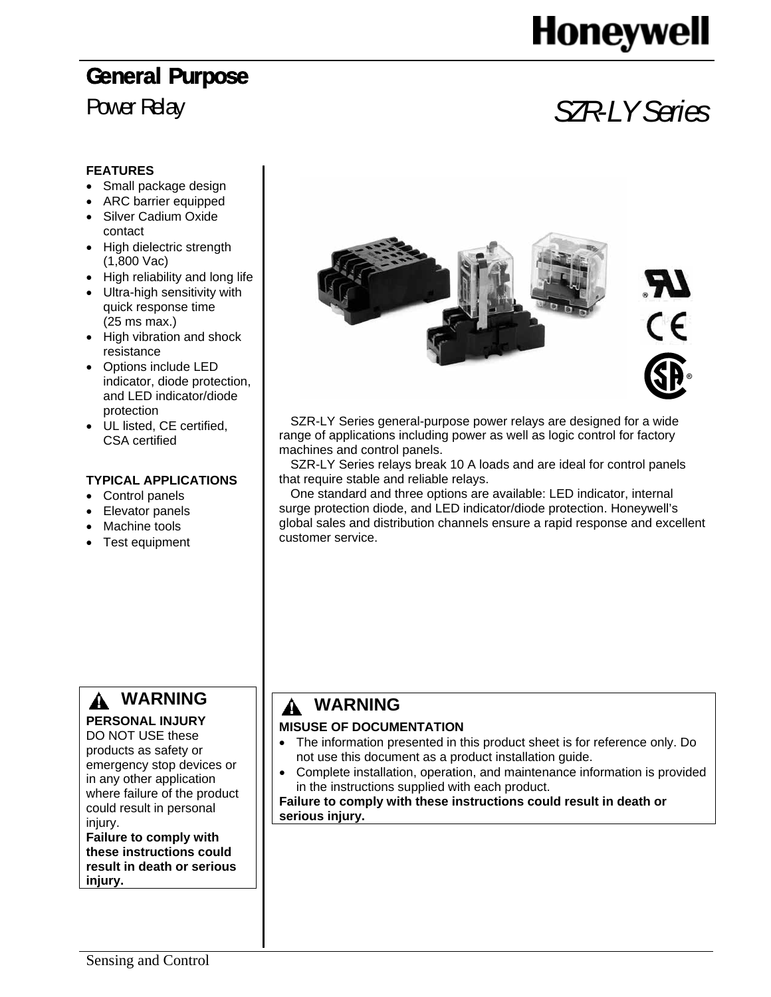# **Honeywell**

## Power Relay *SZR-LY Series*

 $^\circledR$ 

#### **FEATURES**

- Small package design
- ARC barrier equipped
- Silver Cadium Oxide contact
- High dielectric strength (1,800 Vac)
- High reliability and long life
- Ultra-high sensitivity with quick response time (25 ms max.)
- High vibration and shock resistance
- Options include LED indicator, diode protection, and LED indicator/diode protection
- UL listed, CE certified, CSA certified

#### **TYPICAL APPLICATIONS**

- Control panels
- Elevator panels
- Machine tools
- Test equipment

#### **WARNING PERSONAL INJURY**

### DO NOT USE these

products as safety or emergency stop devices or in any other application where failure of the product could result in personal injury.

**Failure to comply with these instructions could result in death or serious injury.** 



SZR-LY Series general-purpose power relays are designed for a wide range of applications including power as well as logic control for factory machines and control panels.

SZR-LY Series relays break 10 A loads and are ideal for control panels that require stable and reliable relays.

One standard and three options are available: LED indicator, internal surge protection diode, and LED indicator/diode protection. Honeywell's global sales and distribution channels ensure a rapid response and excellent customer service.

### **WARNING**

#### **MISUSE OF DOCUMENTATION**

- The information presented in this product sheet is for reference only. Do not use this document as a product installation guide.
- Complete installation, operation, and maintenance information is provided in the instructions supplied with each product.

**Failure to comply with these instructions could result in death or serious injury.**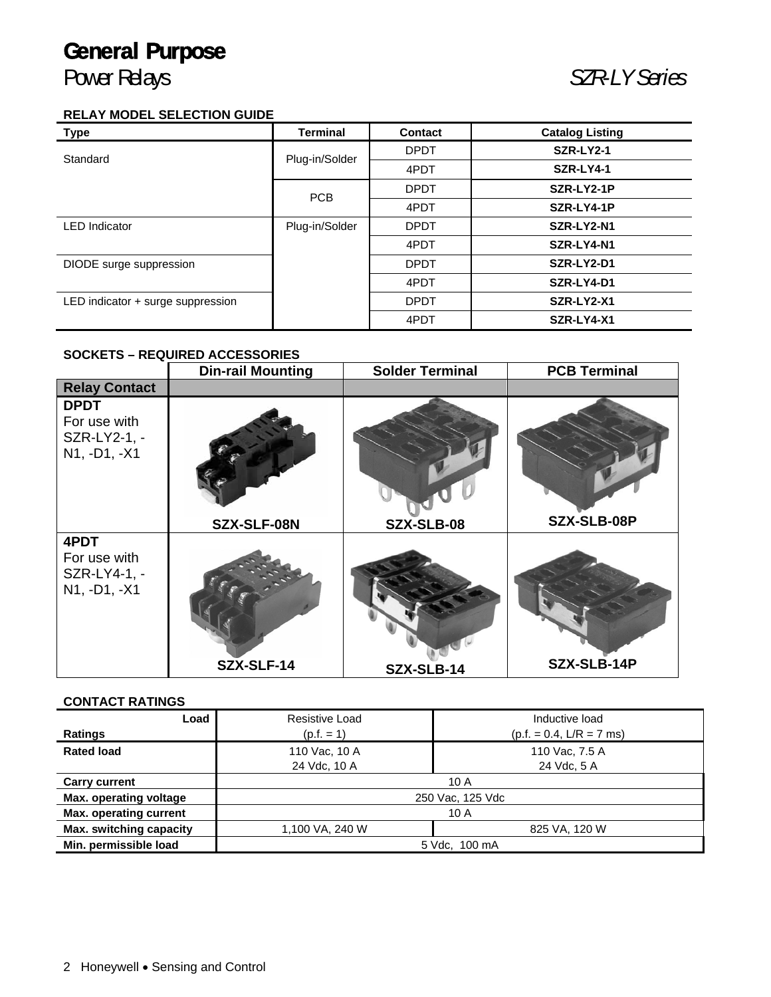### Power Relays *SZR-LY Series*

#### **RELAY MODEL SELECTION GUIDE**

| <b>Type</b>                       | <b>Terminal</b> | <b>Contact</b> | <b>Catalog Listing</b> |
|-----------------------------------|-----------------|----------------|------------------------|
| Standard                          | Plug-in/Solder  | <b>DPDT</b>    | <b>SZR-LY2-1</b>       |
|                                   |                 | 4PDT           | SZR-LY4-1              |
|                                   | <b>PCB</b>      | <b>DPDT</b>    | SZR-LY2-1P             |
|                                   |                 | 4PDT           | SZR-LY4-1P             |
| <b>LED</b> Indicator              | Plug-in/Solder  | <b>DPDT</b>    | SZR-LY2-N1             |
|                                   |                 | 4PDT           | SZR-LY4-N1             |
| DIODE surge suppression           |                 | <b>DPDT</b>    | SZR-LY2-D1             |
|                                   |                 | 4PDT           | SZR-LY4-D1             |
| LED indicator + surge suppression |                 | <b>DPDT</b>    | SZR-LY2-X1             |
|                                   |                 | 4PDT           | SZR-LY4-X1             |

#### **SOCKETS – REQUIRED ACCESSORIES**

|                                                             | <b>Din-rail Mounting</b> | <b>Solder Terminal</b> | <b>PCB Terminal</b> |
|-------------------------------------------------------------|--------------------------|------------------------|---------------------|
| <b>Relay Contact</b>                                        |                          |                        |                     |
| <b>DPDT</b><br>For use with<br>SZR-LY2-1, -<br>N1, -D1, -X1 |                          |                        |                     |
|                                                             | SZX-SLF-08N              | SZX-SLB-08             | SZX-SLB-08P         |
| 4PDT<br>For use with<br>SZR-LY4-1, -<br>N1, -D1, -X1        | SZX-SLF-14               | SZX-SLB-14             | SZX-SLB-14P         |

#### **CONTACT RATINGS**

| Load                          | Resistive Load   | Inductive load             |  |  |  |  |
|-------------------------------|------------------|----------------------------|--|--|--|--|
| Ratings                       | $(p.f. = 1)$     | $(p.f. = 0.4, L/R = 7$ ms) |  |  |  |  |
| <b>Rated load</b>             | 110 Vac, 10 A    | 110 Vac, 7.5 A             |  |  |  |  |
|                               | 24 Vdc, 10 A     | 24 Vdc, 5 A                |  |  |  |  |
| <b>Carry current</b>          | 10 A             |                            |  |  |  |  |
| Max. operating voltage        | 250 Vac, 125 Vdc |                            |  |  |  |  |
| <b>Max. operating current</b> | 10A              |                            |  |  |  |  |
| Max. switching capacity       | 1,100 VA, 240 W  | 825 VA, 120 W              |  |  |  |  |
| Min. permissible load         | 5 Vdc, 100 mA    |                            |  |  |  |  |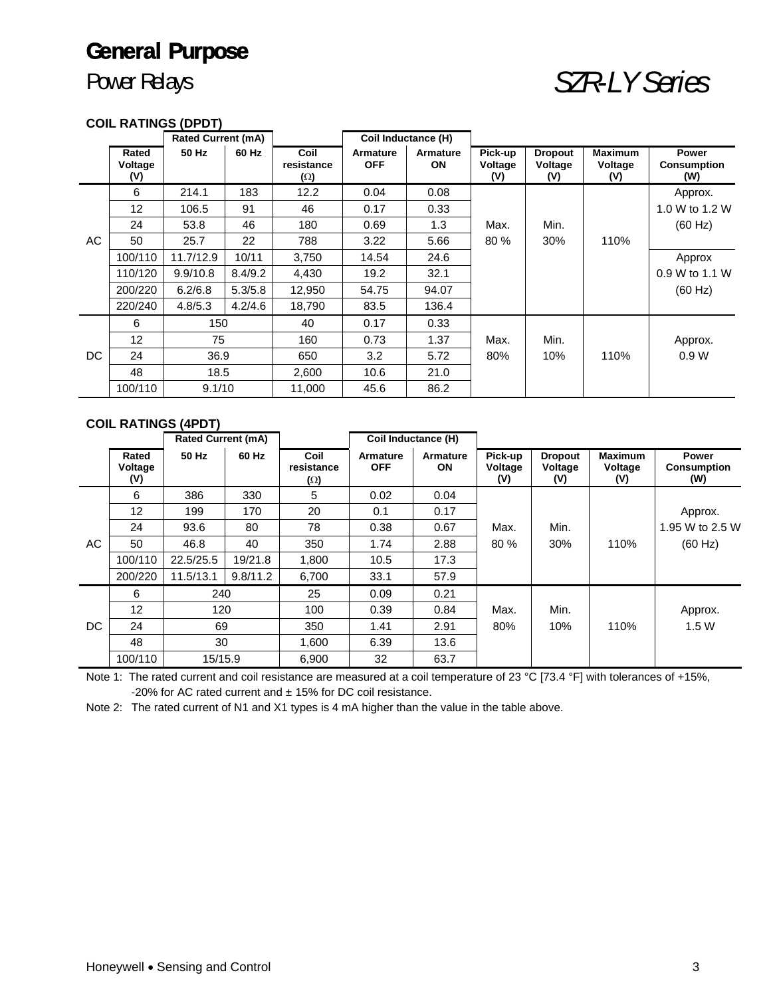### Power Relays *SZR-LY Series*

#### **COIL RATINGS (DPDT)**

|     |                         | <b>Rated Current (mA)</b> |         |                                  | Coil Inductance (H)           |                       |                           |                                  |                                  |                                    |
|-----|-------------------------|---------------------------|---------|----------------------------------|-------------------------------|-----------------------|---------------------------|----------------------------------|----------------------------------|------------------------------------|
|     | Rated<br>Voltage<br>(V) | 50 Hz                     | 60 Hz   | Coil<br>resistance<br>$(\Omega)$ | <b>Armature</b><br><b>OFF</b> | Armature<br><b>ON</b> | Pick-up<br>Voltage<br>(V) | <b>Dropout</b><br>Voltage<br>(V) | <b>Maximum</b><br>Voltage<br>(V) | Power<br><b>Consumption</b><br>(W) |
|     | 6                       | 214.1                     | 183     | 12.2                             | 0.04                          | 0.08                  |                           |                                  |                                  | Approx.                            |
|     | 12                      | 106.5                     | 91      | 46                               | 0.17                          | 0.33                  |                           |                                  |                                  | 1.0 W to 1.2 W                     |
|     | 24                      | 53.8                      | 46      | 180                              | 0.69                          | 1.3                   | Max.                      | Min.                             |                                  | (60 Hz)                            |
| AC  | 50                      | 25.7                      | 22      | 788                              | 3.22                          | 5.66                  | 80 %                      | 30%                              | 110%                             |                                    |
|     | 100/110                 | 11.7/12.9                 | 10/11   | 3,750                            | 14.54                         | 24.6                  |                           |                                  |                                  | Approx                             |
|     | 110/120                 | 9.9/10.8                  | 8.4/9.2 | 4,430                            | 19.2                          | 32.1                  |                           |                                  |                                  | 0.9 W to 1.1 W                     |
|     | 200/220                 | 6.2/6.8                   | 5.3/5.8 | 12,950                           | 54.75                         | 94.07                 |                           |                                  |                                  | (60 Hz)                            |
|     | 220/240                 | 4.8/5.3                   | 4.2/4.6 | 18,790                           | 83.5                          | 136.4                 |                           |                                  |                                  |                                    |
|     | 6                       | 150                       |         | 40                               | 0.17                          | 0.33                  |                           |                                  |                                  |                                    |
| DC. | 12                      | 75                        |         | 160                              | 0.73                          | 1.37                  | Max.                      | Min.                             |                                  | Approx.                            |
|     | 24                      | 36.9                      |         | 650                              | 3.2                           | 5.72                  | 80%                       | 10%                              | 110%                             | 0.9W                               |
|     | 48                      | 18.5                      |         | 2,600                            | 10.6                          | 21.0                  |                           |                                  |                                  |                                    |
|     | 100/110                 | 9.1/10                    |         | 11.000                           | 45.6                          | 86.2                  |                           |                                  |                                  |                                    |

#### **COIL RATINGS (4PDT)**

|     |                         | <b>Rated Current (mA)</b> |          |                                  | Coil Inductance (H)           |                       |                           |                                  |                                  |                                           |
|-----|-------------------------|---------------------------|----------|----------------------------------|-------------------------------|-----------------------|---------------------------|----------------------------------|----------------------------------|-------------------------------------------|
|     | Rated<br>Voltage<br>(V) | 50 Hz                     | 60 Hz    | Coil<br>resistance<br>$(\Omega)$ | <b>Armature</b><br><b>OFF</b> | Armature<br><b>ON</b> | Pick-up<br>Voltage<br>(V) | <b>Dropout</b><br>Voltage<br>(V) | <b>Maximum</b><br>Voltage<br>(V) | <b>Power</b><br><b>Consumption</b><br>(W) |
|     | 6                       | 386                       | 330      | 5                                | 0.02                          | 0.04                  |                           |                                  |                                  |                                           |
|     | 12                      | 199                       | 170      | 20                               | 0.1                           | 0.17                  |                           |                                  |                                  | Approx.                                   |
| AC. | 24                      | 93.6                      | 80       | 78                               | 0.38                          | 0.67                  | Max.                      | Min.                             |                                  | 1.95 W to 2.5 W                           |
|     | 50                      | 46.8                      | 40       | 350                              | 1.74                          | 2.88                  | 80 %                      | 30%                              | 110%                             | (60 Hz)                                   |
|     | 100/110                 | 22.5/25.5                 | 19/21.8  | 1.800                            | 10.5                          | 17.3                  |                           |                                  |                                  |                                           |
|     | 200/220                 | 11.5/13.1                 | 9.8/11.2 | 6.700                            | 33.1                          | 57.9                  |                           |                                  |                                  |                                           |
|     | 6                       | 240                       |          | 25                               | 0.09                          | 0.21                  |                           |                                  |                                  |                                           |
| DC. | 12                      | 120                       |          | 100                              | 0.39                          | 0.84                  | Max.                      | Min.                             |                                  | Approx.                                   |
|     | 24                      | 69                        |          | 350                              | 1.41                          | 2.91                  | 80%                       | 10%                              | 110%                             | 1.5W                                      |
|     | 48                      | 30                        |          | 1.600                            | 6.39                          | 13.6                  |                           |                                  |                                  |                                           |
|     | 100/110                 | 15/15.9                   |          | 6.900                            | 32                            | 63.7                  |                           |                                  |                                  |                                           |

Note 1: The rated current and coil resistance are measured at a coil temperature of 23 °C [73.4 °F] with tolerances of +15%, -20% for AC rated current and  $\pm$  15% for DC coil resistance.

Note 2: The rated current of N1 and X1 types is 4 mA higher than the value in the table above.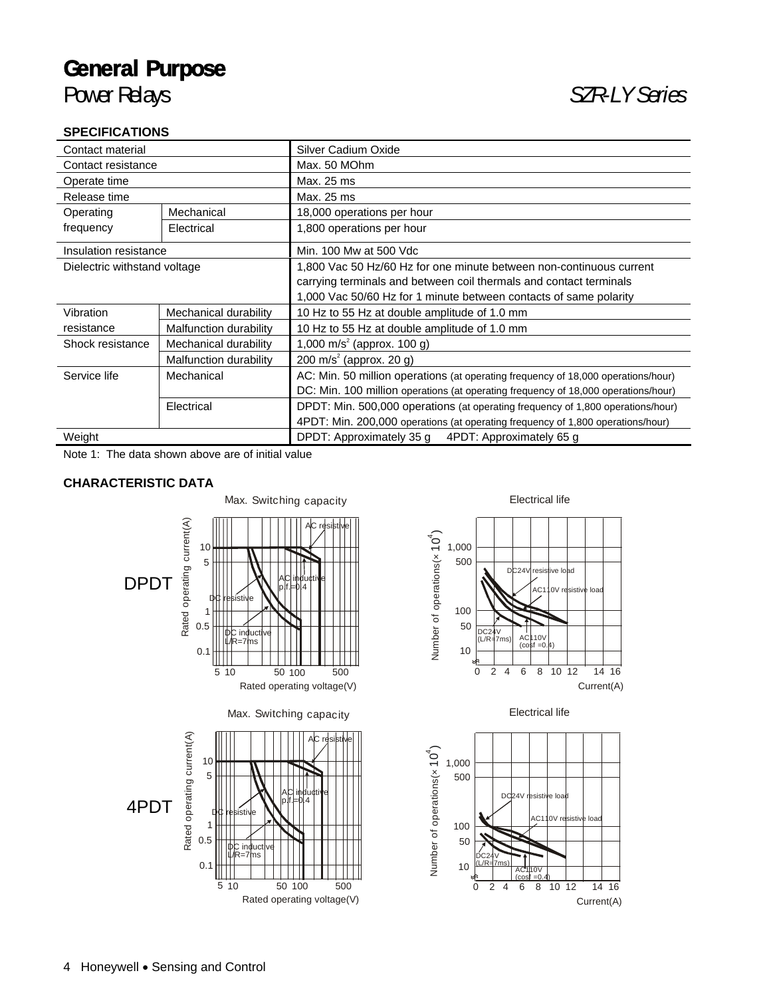#### **SPECIFICATIONS**

| --------------                            |                        |                                                                                    |  |  |  |  |
|-------------------------------------------|------------------------|------------------------------------------------------------------------------------|--|--|--|--|
| Contact material                          |                        | Silver Cadium Oxide                                                                |  |  |  |  |
| Contact resistance                        |                        | Max. 50 MOhm                                                                       |  |  |  |  |
| Operate time                              |                        | Max. 25 ms                                                                         |  |  |  |  |
| Release time                              |                        | Max. 25 ms                                                                         |  |  |  |  |
| Operating                                 | Mechanical             | 18,000 operations per hour                                                         |  |  |  |  |
| frequency                                 | Electrical             | 1,800 operations per hour                                                          |  |  |  |  |
| Insulation resistance                     |                        | Min. 100 Mw at 500 Vdc                                                             |  |  |  |  |
| Dielectric withstand voltage              |                        | 1,800 Vac 50 Hz/60 Hz for one minute between non-continuous current                |  |  |  |  |
|                                           |                        | carrying terminals and between coil thermals and contact terminals                 |  |  |  |  |
|                                           |                        | 1,000 Vac 50/60 Hz for 1 minute between contacts of same polarity                  |  |  |  |  |
| Vibration                                 | Mechanical durability  | 10 Hz to 55 Hz at double amplitude of 1.0 mm                                       |  |  |  |  |
| resistance                                | Malfunction durability | 10 Hz to 55 Hz at double amplitude of 1.0 mm                                       |  |  |  |  |
| Mechanical durability<br>Shock resistance |                        | 1,000 m/s <sup>2</sup> (approx. 100 g)                                             |  |  |  |  |
|                                           | Malfunction durability | 200 m/s <sup>2</sup> (approx. 20 g)                                                |  |  |  |  |
| Service life<br>Mechanical                |                        | AC: Min. 50 million operations (at operating frequency of 18,000 operations/hour)  |  |  |  |  |
|                                           |                        | DC: Min. 100 million operations (at operating frequency of 18,000 operations/hour) |  |  |  |  |
|                                           | Electrical             | DPDT: Min. 500,000 operations (at operating frequency of 1,800 operations/hour)    |  |  |  |  |
|                                           |                        | 4PDT: Min. 200,000 operations (at operating frequency of 1,800 operations/hour)    |  |  |  |  |
| Weight                                    |                        | DPDT: Approximately 35 g<br>4PDT: Approximately 65 g                               |  |  |  |  |

Note 1: The data shown above are of initial value

#### **CHARACTERISTIC DATA**







#### Electrical life

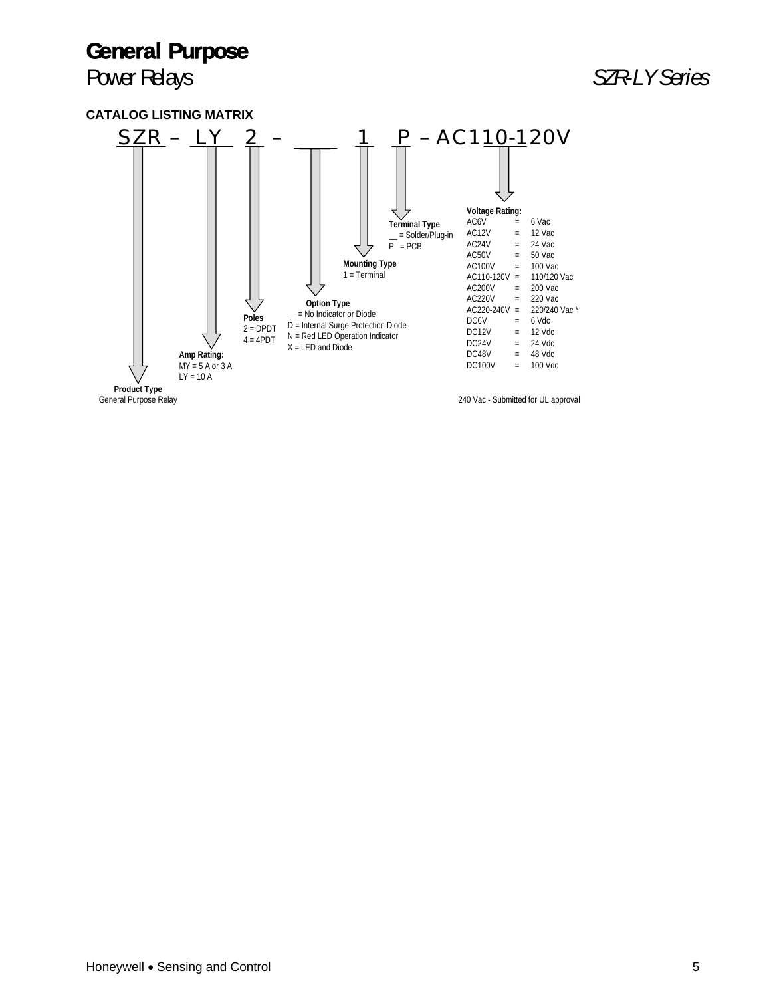### Power Relays **Bullet Accord Power Relays SZR-LY Series**



General Purpose Relay

240 Vac - Submitted for UL approval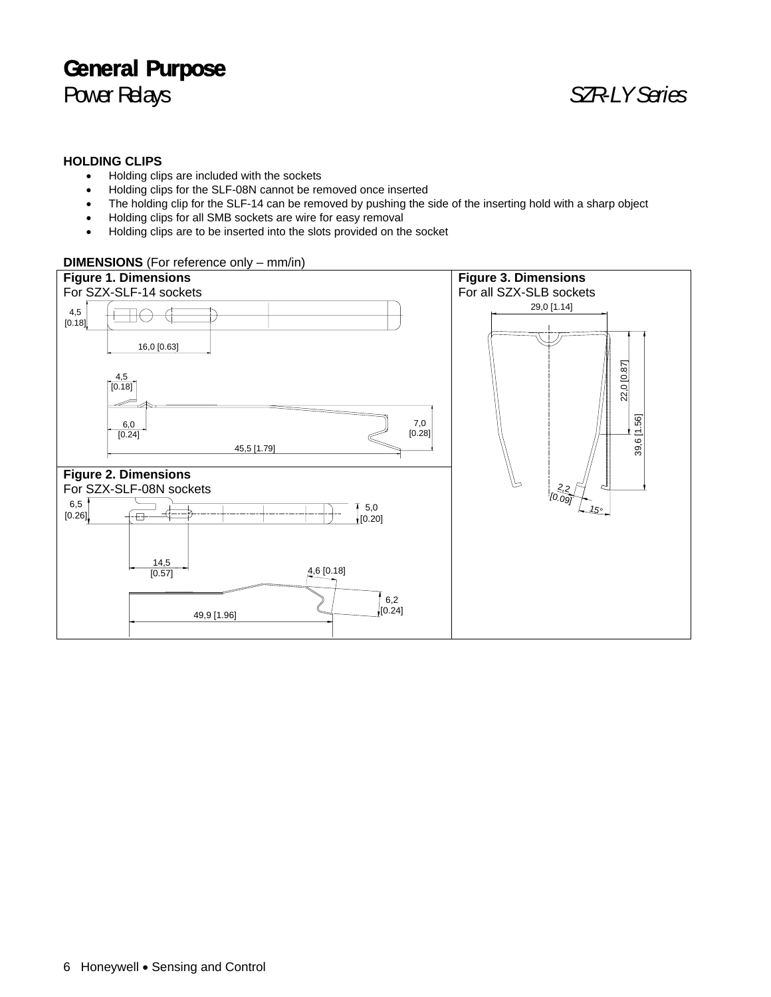### Power Relays *SZR-LY Series*

#### **HOLDING CLIPS**

- Holding clips are included with the sockets
- Holding clips for the SLF-08N cannot be removed once inserted
- The holding clip for the SLF-14 can be removed by pushing the side of the inserting hold with a sharp object
- Holding clips for all SMB sockets are wire for easy removal
- Holding clips are to be inserted into the slots provided on the socket

#### **DIMENSIONS** (For reference only – mm/in)

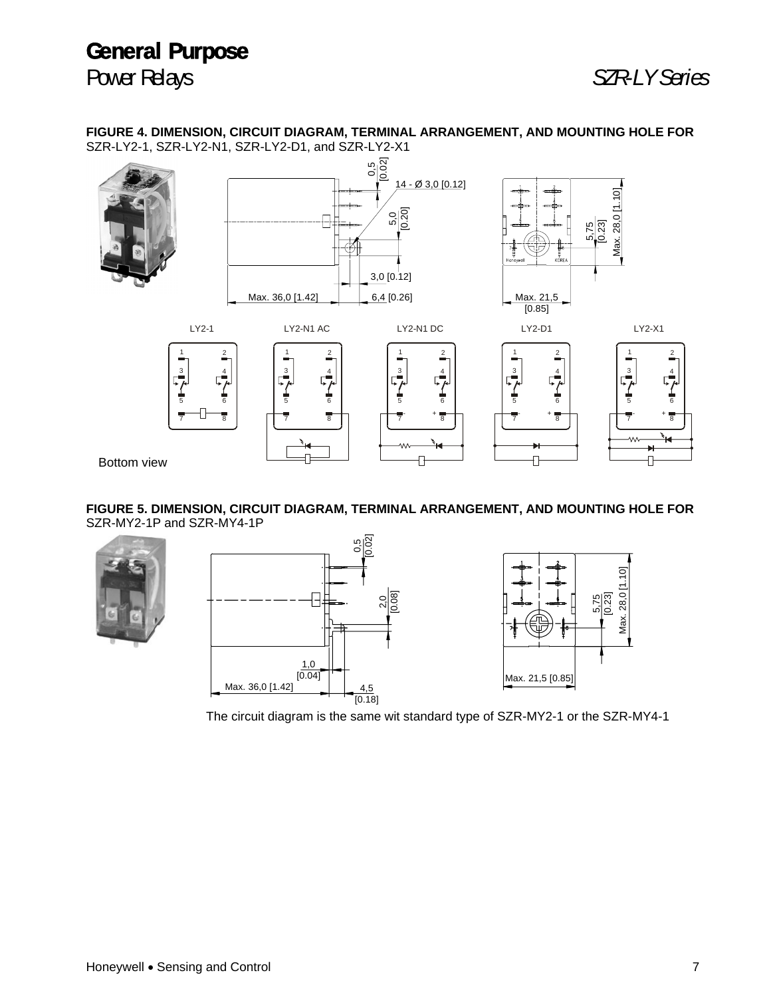

**FIGURE 4. DIMENSION, CIRCUIT DIAGRAM, TERMINAL ARRANGEMENT, AND MOUNTING HOLE FOR** SZR-LY2-1, SZR-LY2-N1, SZR-LY2-D1, and SZR-LY2-X1



**FIGURE 5. DIMENSION, CIRCUIT DIAGRAM, TERMINAL ARRANGEMENT, AND MOUNTING HOLE FOR** SZR-MY2-1P and SZR-MY4-1P







The circuit diagram is the same wit standard type of SZR-MY2-1 or the SZR-MY4-1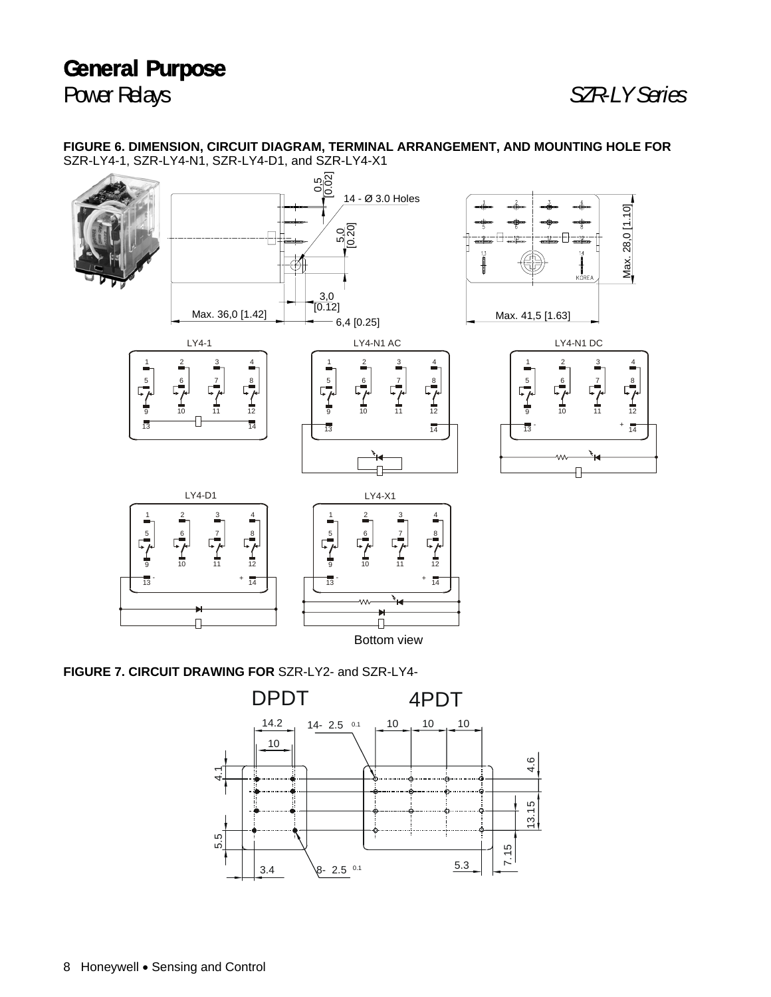Power Relays *SZR-LY Series*

[0.02] ს<br>0, 14 - O 3.0 Holes Max. 28,0 [1.10] Max. 28,0 [1.10]  $\frac{5.0}{0.20}$ [0.12] 5,0 3,0 Max. 36,0 [1.42]  $\begin{array}{|c|c|c|c|c|c|c|c|}\n\hline\n\text{Max. 36,0 [1.42]} & & & \downarrow \text{ 6,4 [0.25]} \\
\hline\n\end{array}$ Max. 41,5 [1.63] LY4-1 LY4-N1 DC LY4-N1 AC 1 2 3 4 1 2 3 4 1 2 3 4  $\frac{5}{4}$  $\frac{5}{4}$  $\mathbb{F}^6$ 5 6 7 8 6 7 8 7 8 10 11 12 10 11 12 10 11 12 9 9 9  $\overline{14}$  $\overline{14}$  $\overline{13}$ 13  $+$   $\frac{1}{14}$ 13 П LY4-D1 LY4-X1 1 2 3 4 1 2 3 4  $\frac{5}{7}$  $\frac{5}{1}$ 6 7 8 6 7 8 10 11 12 10 11 12 9 9 13  $+$   $\frac{1}{14}$   $\frac{1}{13}$  $+$   $\frac{1}{14}$ Ч η, П Bottom view

**FIGURE 6. DIMENSION, CIRCUIT DIAGRAM, TERMINAL ARRANGEMENT, AND MOUNTING HOLE FOR** SZR-LY4-1, SZR-LY4-N1, SZR-LY4-D1, and SZR-LY4-X1

**FIGURE 7. CIRCUIT DRAWING FOR** SZR-LY2- and SZR-LY4-

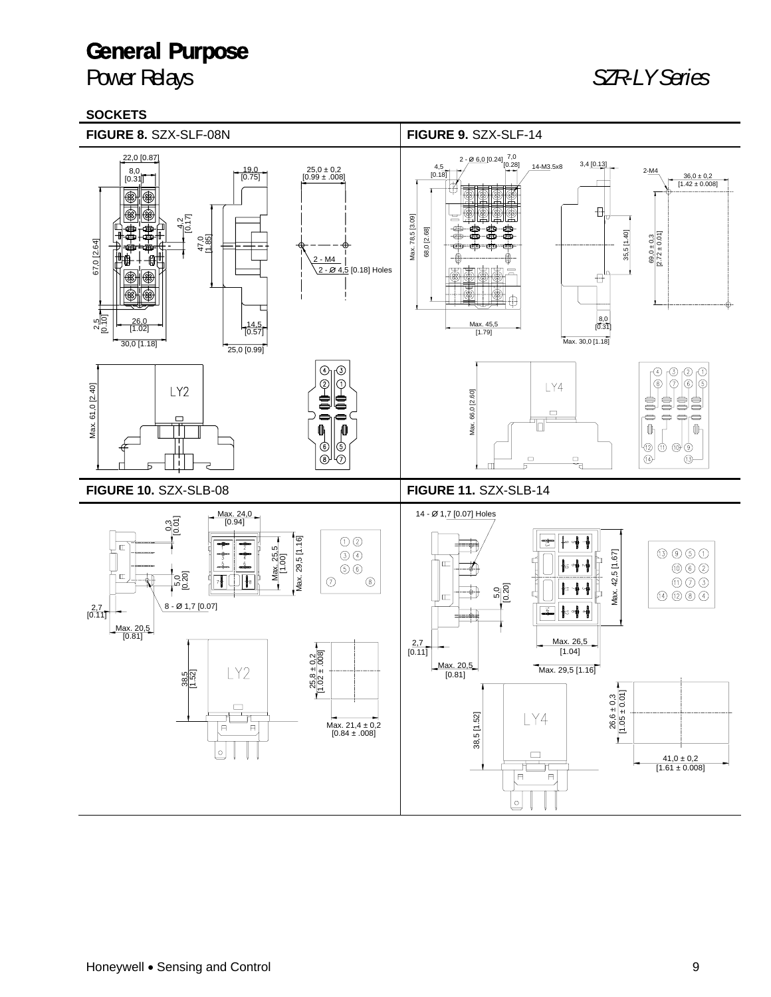### Power Relays *SZR-LY Series*

#### **SOCKETS**